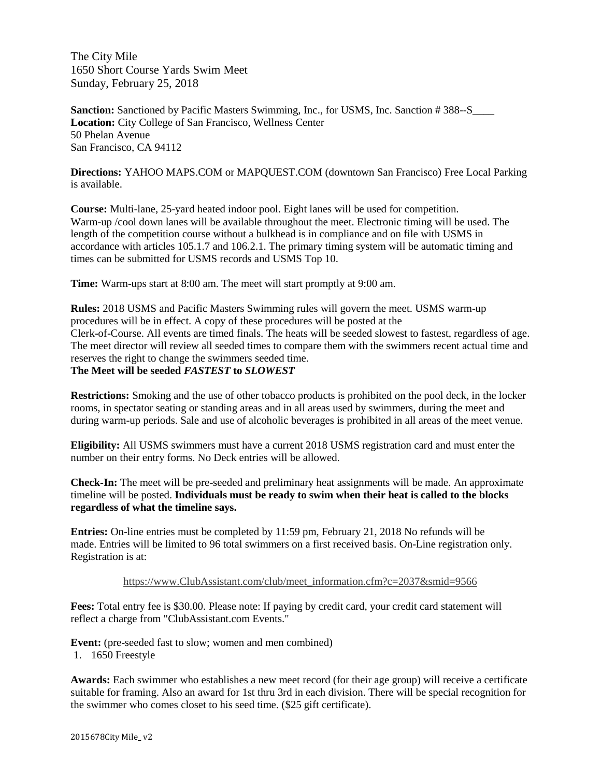The City Mile 1650 Short Course Yards Swim Meet Sunday, February 25, 2018

**Sanction:** Sanctioned by Pacific Masters Swimming, Inc., for USMS, Inc. Sanction # 388–-S **Location:** City College of San Francisco, Wellness Center 50 Phelan Avenue San Francisco, CA 94112

**Directions:** YAHOO MAPS.COM or MAPQUEST.COM (downtown San Francisco) Free Local Parking is available.

**Course:** Multi-lane, 25-yard heated indoor pool. Eight lanes will be used for competition. Warm-up /cool down lanes will be available throughout the meet. Electronic timing will be used. The length of the competition course without a bulkhead is in compliance and on file with USMS in accordance with articles 105.1.7 and 106.2.1. The primary timing system will be automatic timing and times can be submitted for USMS records and USMS Top 10.

**Time:** Warm-ups start at 8:00 am. The meet will start promptly at 9:00 am.

**Rules:** 2018 USMS and Pacific Masters Swimming rules will govern the meet. USMS warm-up procedures will be in effect. A copy of these procedures will be posted at the Clerk-of-Course. All events are timed finals. The heats will be seeded slowest to fastest, regardless of age. The meet director will review all seeded times to compare them with the swimmers recent actual time and reserves the right to change the swimmers seeded time. **The Meet will be seeded** *FASTEST* **to** *SLOWEST*

## **Restrictions:** Smoking and the use of other tobacco products is prohibited on the pool deck, in the locker rooms, in spectator seating or standing areas and in all areas used by swimmers, during the meet and during warm-up periods. Sale and use of alcoholic beverages is prohibited in all areas of the meet venue.

**Eligibility:** All USMS swimmers must have a current 2018 USMS registration card and must enter the number on their entry forms. No Deck entries will be allowed.

**Check-In:** The meet will be pre-seeded and preliminary heat assignments will be made. An approximate timeline will be posted. **Individuals must be ready to swim when their heat is called to the blocks regardless of what the timeline says.**

**Entries:** On-line entries must be completed by 11:59 pm, February 21, 2018 No refunds will be made. Entries will be limited to 96 total swimmers on a first received basis. On-Line registration only. Registration is at:

## https://www.ClubAssistant.com/club/meet\_information.cfm?c=2037&smid=9566

**Fees:** Total entry fee is \$30.00. Please note: If paying by credit card, your credit card statement will reflect a charge from "ClubAssistant.com Events."

**Event:** (pre-seeded fast to slow; women and men combined)

1. 1650 Freestyle

**Awards:** Each swimmer who establishes a new meet record (for their age group) will receive a certificate suitable for framing. Also an award for 1st thru 3rd in each division. There will be special recognition for the swimmer who comes closet to his seed time. (\$25 gift certificate).